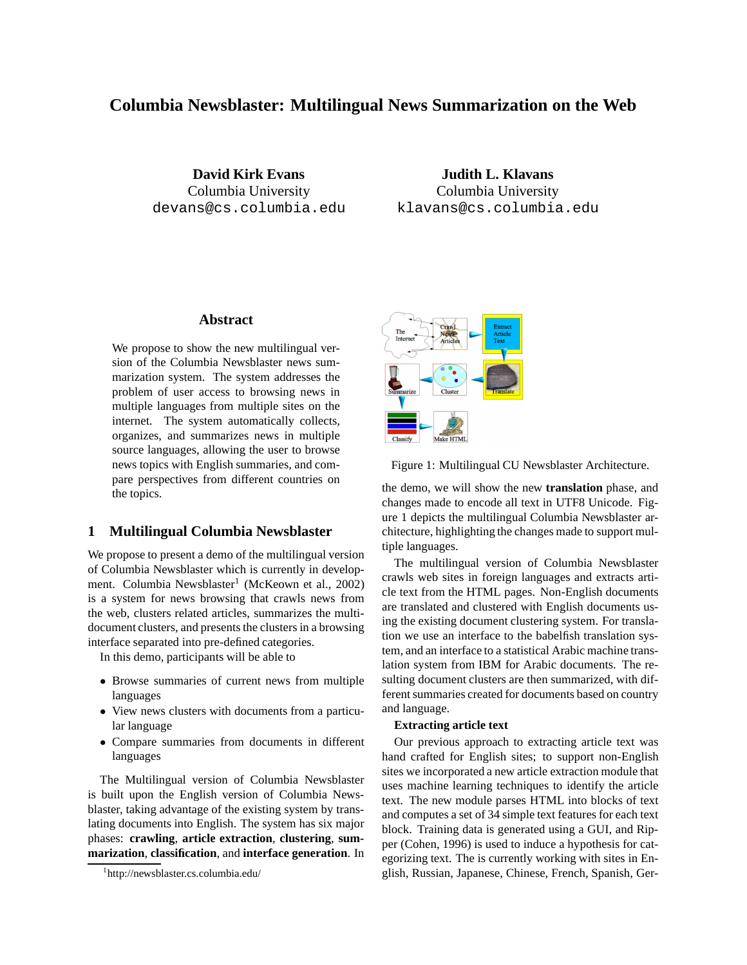# **Columbia Newsblaster: Multilingual News Summarization on the Web**

**David Kirk Evans** Columbia University devans@cs.columbia.edu

**Judith L. Klavans** Columbia University klavans@cs.columbia.edu

## **Abstract**

We propose to show the new multilingual version of the Columbia Newsblaster news summarization system. The system addresses the problem of user access to browsing news in multiple languages from multiple sites on the internet. The system automatically collects, organizes, and summarizes news in multiple source languages, allowing the user to browse news topics with English summaries, and compare perspectives from different countries on the topics.

## **1 Multilingual Columbia Newsblaster**

We propose to present a demo of the multilingual version of Columbia Newsblaster which is currently in development. Columbia Newsblaster<sup>1</sup> (McKeown et al., 2002) is a system for news browsing that crawls news from the web, clusters related articles, summarizes the multidocument clusters, and presents the clusters in a browsing interface separated into pre-defined categories.

In this demo, participants will be able to

- Browse summaries of current news from multiple languages
- View news clusters with documents from a particular language
- Compare summaries from documents in different languages

The Multilingual version of Columbia Newsblaster is built upon the English version of Columbia Newsblaster, taking advantage of the existing system by translating documents into English. The system has six major phases: **crawling**, **article extraction**, **clustering**, **summarization**, **classification**, and **interface generation**. In



Figure 1: Multilingual CU Newsblaster Architecture.

the demo, we will show the new **translation** phase, and changes made to encode all text in UTF8 Unicode. Figure 1 depicts the multilingual Columbia Newsblaster architecture, highlighting the changes made to support multiple languages.

The multilingual version of Columbia Newsblaster crawls web sites in foreign languages and extracts article text from the HTML pages. Non-English documents are translated and clustered with English documents using the existing document clustering system. For translation we use an interface to the babelfish translation system, and an interface to a statistical Arabic machine translation system from IBM for Arabic documents. The resulting document clusters are then summarized, with different summaries created for documents based on country and language.

## **Extracting article text**

Our previous approach to extracting article text was hand crafted for English sites; to support non-English sites we incorporated a new article extraction module that uses machine learning techniques to identify the article text. The new module parses HTML into blocks of text and computes a set of 34 simple text features for each text block. Training data is generated using a GUI, and Ripper (Cohen, 1996) is used to induce a hypothesis for categorizing text. The is currently working with sites in English, Russian, Japanese, Chinese, French, Spanish, Ger-

<sup>1</sup> http://newsblaster.cs.columbia.edu/